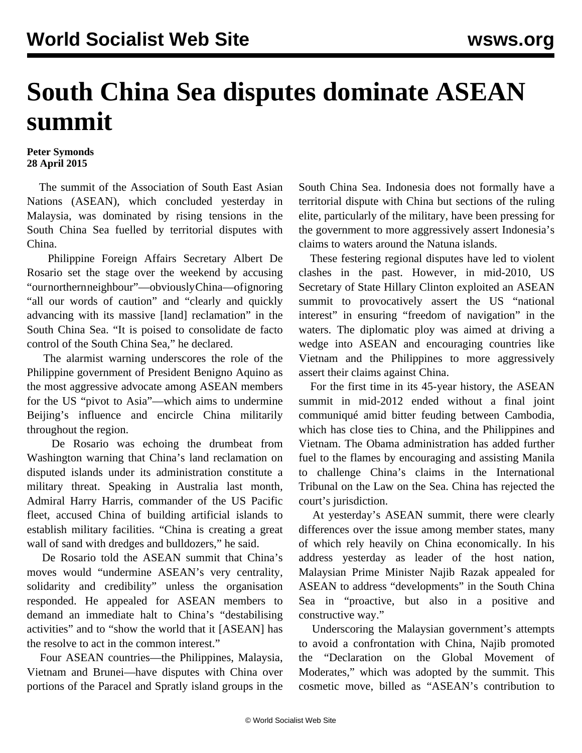## **South China Sea disputes dominate ASEAN summit**

## **Peter Symonds 28 April 2015**

 The summit of the Association of South East Asian Nations (ASEAN), which concluded yesterday in Malaysia, was dominated by rising tensions in the South China Sea fuelled by territorial disputes with China.

 Philippine Foreign Affairs Secretary Albert De Rosario set the stage over the weekend by accusing "our northern neighbour"—obviously China—of ignoring "all our words of caution" and "clearly and quickly advancing with its massive [land] reclamation" in the South China Sea. "It is poised to consolidate de facto control of the South China Sea," he declared.

 The alarmist warning underscores the role of the Philippine government of President Benigno Aquino as the most aggressive advocate among ASEAN members for the US "pivot to Asia"—which aims to undermine Beijing's influence and encircle China militarily throughout the region.

 De Rosario was echoing the drumbeat from Washington warning that China's land reclamation on disputed islands under its administration constitute a military threat. Speaking in Australia last month, Admiral Harry Harris, commander of the US Pacific fleet, accused China of building artificial islands to establish military facilities. "China is creating a great wall of sand with dredges and bulldozers," he said.

 De Rosario told the ASEAN summit that China's moves would "undermine ASEAN's very centrality, solidarity and credibility" unless the organisation responded. He appealed for ASEAN members to demand an immediate halt to China's "destabilising activities" and to "show the world that it [ASEAN] has the resolve to act in the common interest."

 Four ASEAN countries—the Philippines, Malaysia, Vietnam and Brunei—have disputes with China over portions of the Paracel and Spratly island groups in the South China Sea. Indonesia does not formally have a territorial dispute with China but sections of the ruling elite, particularly of the military, have been pressing for the government to more aggressively assert Indonesia's claims to waters around the Natuna islands.

 These festering regional disputes have led to violent clashes in the past. However, in mid-2010, US Secretary of State Hillary Clinton exploited an ASEAN summit to provocatively assert the US "national interest" in ensuring "freedom of navigation" in the waters. The diplomatic ploy was aimed at driving a wedge into ASEAN and encouraging countries like Vietnam and the Philippines to more aggressively assert their claims against China.

 For the first time in its 45-year history, the ASEAN summit in mid-2012 ended without a final joint communiqué amid bitter feuding between Cambodia, which has close ties to China, and the Philippines and Vietnam. The Obama administration has added further fuel to the flames by encouraging and assisting Manila to challenge China's claims in the International Tribunal on the Law on the Sea. China has rejected the court's jurisdiction.

 At yesterday's ASEAN summit, there were clearly differences over the issue among member states, many of which rely heavily on China economically. In his address yesterday as leader of the host nation, Malaysian Prime Minister Najib Razak appealed for ASEAN to address "developments" in the South China Sea in "proactive, but also in a positive and constructive way."

 Underscoring the Malaysian government's attempts to avoid a confrontation with China, Najib promoted the "Declaration on the Global Movement of Moderates," which was adopted by the summit. This cosmetic move, billed as "ASEAN's contribution to